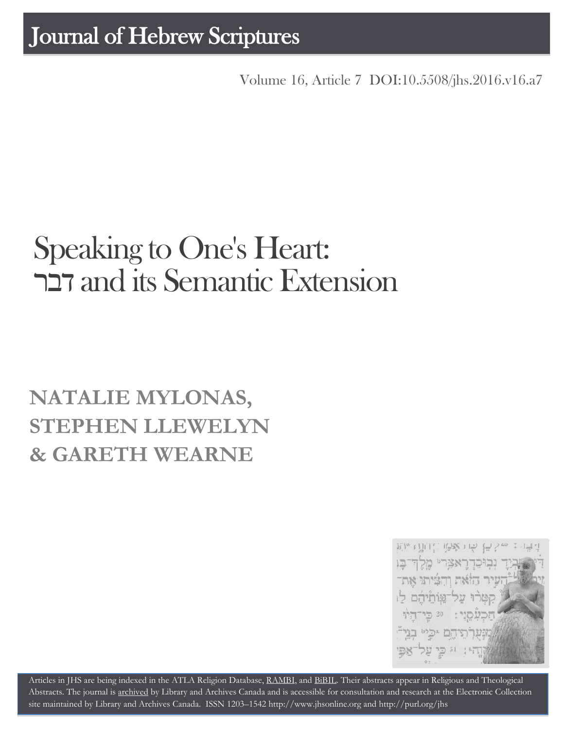Volume 16, Article 7 [DOI:10.5508/jhs.2016.v16.a7](http://dx.doi.org/10.5508/jhs.2016.v16.a7)

# Speaking to One's Heart: דבר and its Semantic Extension

## **NATALIE MYLONAS, STEPHEN LLEWELYN & GARETH WEARNE**



Articles in JHS are being indexed in the ATLA Religion Database, [RAMBI,](http://jnul.huji.ac.il/rambi/) and [BiBIL.](http://bibil.net/) Their abstracts appear in Religious and Theological Abstracts. The journal is [archived](http://epe.lac-bac.gc.ca/100/201/300/journal_hebrew/index.html) by Library and Archives Canada and is accessible for consultation and research at the Electronic Collection site maintained by [Library and Archives Canada.](http://collectionscanada.ca/electroniccollection/003008-200-e.html) ISSN 1203–154[2 http://www.jhsonline.org](http://www.jhsonline.org/) and<http://purl.org/jhs>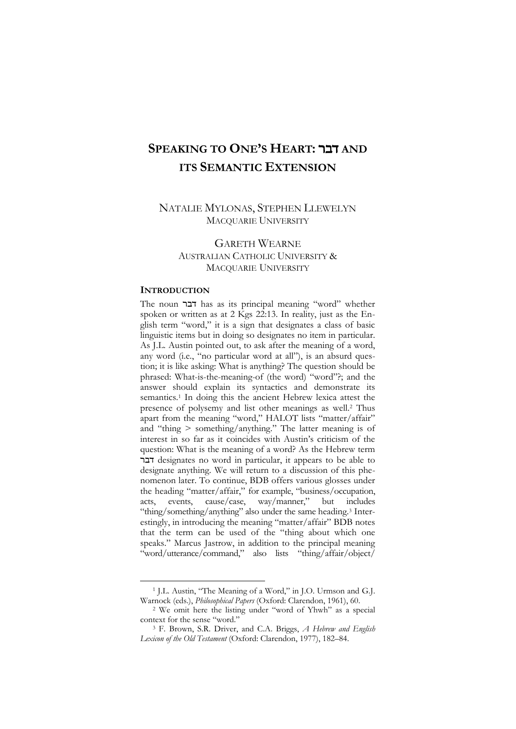### **SPEAKING TO ONE'S HEART:** דבר **AND ITS SEMANTIC EXTENSION**

#### NATALIE MYLONAS, STEPHEN LLEWELYN MACQUARIE UNIVERSITY

#### GARETH WEARNE AUSTRALIAN CATHOLIC UNIVERSITY & MACQUARIE UNIVERSITY

#### **INTRODUCTION**

 $\overline{a}$ 

The noun דבר has as its principal meaning "word" whether spoken or written as at 2 Kgs 22:13. In reality, just as the English term "word," it is a sign that designates a class of basic linguistic items but in doing so designates no item in particular. As J.L. Austin pointed out, to ask after the meaning of a word, any word (i.e., "no particular word at all"), is an absurd question; it is like asking: What is anything? The question should be phrased: What-is-the-meaning-of (the word) "word"?; and the answer should explain its syntactics and demonstrate its semantics.<sup>1</sup> In doing this the ancient Hebrew lexica attest the presence of polysemy and list other meanings as well.<sup>2</sup> Thus apart from the meaning "word," HALOT lists "matter/affair" and "thing > something/anything." The latter meaning is of interest in so far as it coincides with Austin's criticism of the question: What is the meaning of a word? As the Hebrew term דבר designates no word in particular, it appears to be able to designate anything. We will return to a discussion of this phenomenon later. To continue, BDB offers various glosses under the heading "matter/affair," for example, "business/occupation, acts, events, cause/case, way/manner," but includes "thing/something/anything" also under the same heading.<sup>3</sup> Interestingly, in introducing the meaning "matter/affair" BDB notes that the term can be used of the "thing about which one speaks." Marcus Jastrow, in addition to the principal meaning "word/utterance/command," also lists "thing/affair/object/

<sup>1</sup> J.L. Austin, "The Meaning of a Word," in J.O. Urmson and G.J. Warnock (eds.), *Philosophical Papers* (Oxford: Clarendon, 1961), 60.

<sup>2</sup> We omit here the listing under "word of Yhwh" as a special context for the sense "word."

<sup>3</sup> F. Brown, S.R. Driver, and C.A. Briggs, *A Hebrew and English Lexicon of the Old Testament* (Oxford: Clarendon, 1977), 182–84.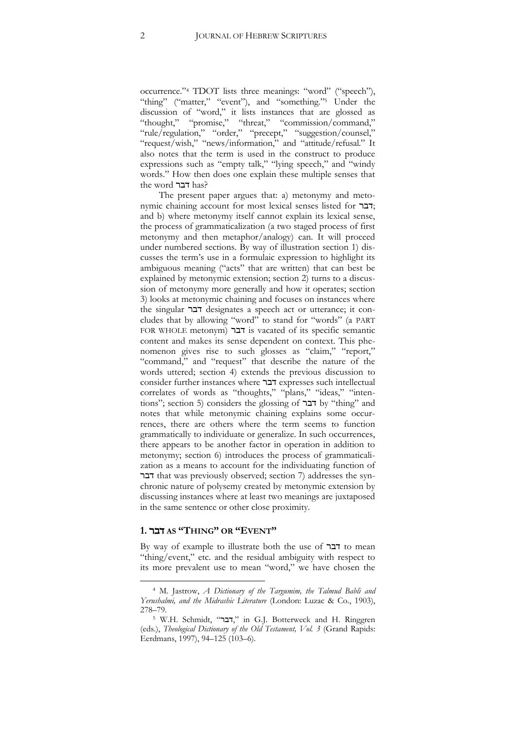occurrence."<sup>4</sup> TDOT lists three meanings: "word" ("speech"), "thing" ("matter," "event"), and "something."<sup>5</sup> Under the discussion of "word," it lists instances that are glossed as "thought," "promise," "threat," "commission/command," "rule/regulation," "order," "precept," "suggestion/counsel," "request/wish," "news/information," and "attitude/refusal." It also notes that the term is used in the construct to produce expressions such as "empty talk," "lying speech," and "windy words." How then does one explain these multiple senses that the word דבר has?

The present paper argues that: a) metonymy and metonymic chaining account for most lexical senses listed for דבר ; and b) where metonymy itself cannot explain its lexical sense, the process of grammaticalization (a two staged process of first metonymy and then metaphor/analogy) can. It will proceed under numbered sections. By way of illustration section 1) discusses the term's use in a formulaic expression to highlight its ambiguous meaning ("acts" that are written) that can best be explained by metonymic extension; section 2) turns to a discussion of metonymy more generally and how it operates; section 3) looks at metonymic chaining and focuses on instances where the singular דבר designates a speech act or utterance; it concludes that by allowing "word" to stand for "words" (a PART FOR WHOLE metonym) דבר is vacated of its specific semantic content and makes its sense dependent on context. This phenomenon gives rise to such glosses as "claim," "report," "command," and "request" that describe the nature of the words uttered; section 4) extends the previous discussion to consider further instances where דבר expresses such intellectual correlates of words as "thoughts," "plans," "ideas," "intentions"; section 5) considers the glossing of דבר by "thing" and notes that while metonymic chaining explains some occurrences, there are others where the term seems to function grammatically to individuate or generalize. In such occurrences, there appears to be another factor in operation in addition to metonymy; section 6) introduces the process of grammaticalization as a means to account for the individuating function of דבר that was previously observed; section 7) addresses the synchronic nature of polysemy created by metonymic extension by discussing instances where at least two meanings are juxtaposed in the same sentence or other close proximity.

#### **1.** דבר **AS "THING" OR "EVENT"**

 $\overline{a}$ 

By way of example to illustrate both the use of דבר to mean "thing/event," etc. and the residual ambiguity with respect to its more prevalent use to mean "word," we have chosen the

<sup>4</sup> M. Jastrow, *A Dictionary of the Targumim, the Talmud Babli and Yerushalmi, and the Midrashic Literature* (London: Luzac & Co., 1903), 278–79.

<sup>&</sup>lt;sup>5</sup> W.H. Schmidt, "דבר," in G.J. Botterweck and H. Ringgren (eds.), *Theological Dictionary of the Old Testament, Vol. 3* (Grand Rapids: Eerdmans, 1997), 94–125 (103–6).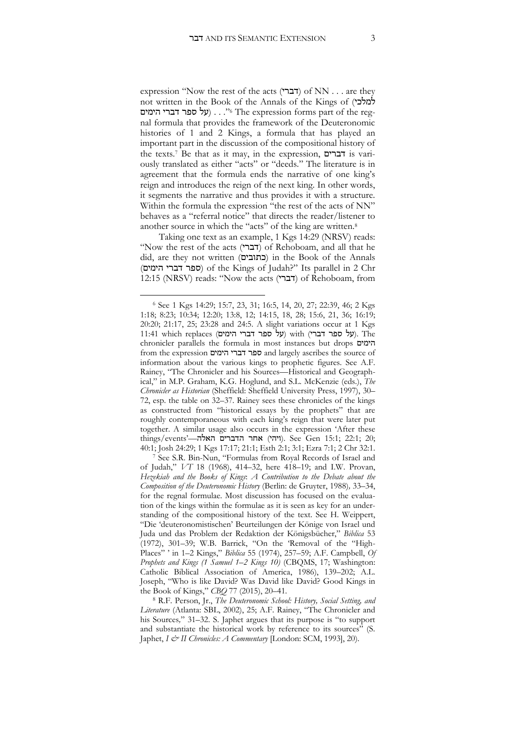expression "Now the rest of the acts (דברי) of NN . . . are they not written in the Book of the Annals of the Kings of (למלכי י. . . (על ספר דברי הימים) . . . "6 The expression forms part of the regnal formula that provides the framework of the Deuteronomic histories of 1 and 2 Kings, a formula that has played an important part in the discussion of the compositional history of the texts.<sup>7</sup> Be that as it may, in the expression, דברים is variously translated as either "acts" or "deeds." The literature is in agreement that the formula ends the narrative of one king's reign and introduces the reign of the next king. In other words, it segments the narrative and thus provides it with a structure. Within the formula the expression "the rest of the acts of NN" behaves as a "referral notice" that directs the reader/listener to another source in which the "acts" of the king are written.<sup>8</sup>

Taking one text as an example, 1 Kgs 14:29 (NRSV) reads: "Now the rest of the acts (דברי) of Rehoboam, and all that he did, are they not written (כתובים (in the Book of the Annals (ספר דברי הימים) of the Kings of Judah?" Its parallel in 2 Chr 12:15 (NRSV) reads: "Now the acts (דברי) of Rehoboam, from

<sup>6</sup> See 1 Kgs 14:29; 15:7, 23, 31; 16:5, 14, 20, 27; 22:39, 46; 2 Kgs 1:18; 8:23; 10:34; 12:20; 13:8, 12; 14:15, 18, 28; 15:6, 21, 36; 16:19; 20:20; 21:17, 25; 23:28 and 24:5. A slight variations occur at 1 Kgs  $11:41$  which replaces (על ספר דברי הימים) with (על ספר דברי). The chronicler parallels the formula in most instances but drops הימים from the expression הימים דברי ספר and largely ascribes the source of information about the various kings to prophetic figures. See A.F. Rainey, "The Chronicler and his Sources—Historical and Geographical," in M.P. Graham, K.G. Hoglund, and S.L. McKenzie (eds.), *The Chronicler as Historian* (Sheffield: Sheffield University Press, 1997), 30– 72, esp. the table on 32–37. Rainey sees these chronicles of the kings as constructed from "historical essays by the prophets" that are roughly contemporaneous with each king's reign that were later put together. A similar usage also occurs in the expression 'After these ;20 ;22:1 ;15:1 Gen See .)ויהי) אחר הדברים האלה—'events/things 40:1; Josh 24:29; 1 Kgs 17:17; 21:1; Esth 2:1; 3:1; Ezra 7:1; 2 Chr 32:1.

<sup>7</sup> See S.R. Bin-Nun, "Formulas from Royal Records of Israel and of Judah," *VT* 18 (1968), 414–32, here 418–19; and I.W. Provan, *Hezekiah and the Books of Kings*: *A Contribution to the Debate about the Composition of the Deuteronomic History* (Berlin: de Gruyter, 1988)*,* 33–34, for the regnal formulae. Most discussion has focused on the evaluation of the kings within the formulae as it is seen as key for an understanding of the compositional history of the text. See H. Weippert, "Die 'deuteronomistischen' Beurteilungen der Könige von Israel und Juda und das Problem der Redaktion der Königsbücher," *Biblica* 53 (1972), 301–39; W.B. Barrick, "On the 'Removal of the "High-Places" ' in 1–2 Kings," *Biblica* 55 (1974), 257–59; A.F. Campbell, *Of Prophets and Kings (1 Samuel 1–2 Kings 10)* (CBQMS, 17; Washington: Catholic Biblical Association of America, 1986), 139–202; A.L. Joseph, "Who is like David? Was David like David? Good Kings in the Book of Kings," *CBQ* 77 (2015), 20–41.

<sup>8</sup> R.F. Person, Jr., *The Deuteronomic School: History, Social Setting, and Literature* (Atlanta: SBL, 2002), 25; A.F. Rainey, "The Chronicler and his Sources*,*" 31–32. S. Japhet argues that its purpose is "to support and substantiate the historical work by reference to its sources" (S. Japhet, *I & II Chronicles: A Commentary* [London: SCM, 1993], 20).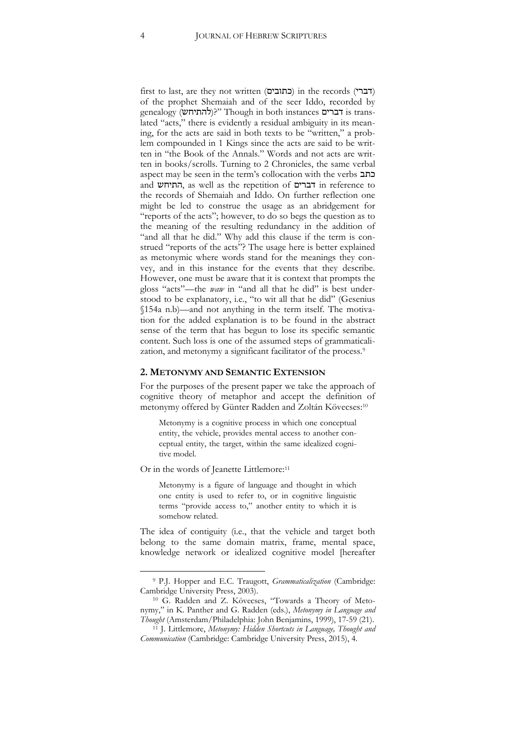first to last, are they not written (כתובים) in the records (דברי of the prophet Shemaiah and of the seer Iddo, recorded by genealogy (להתיחש)?" Though in both instances דברים lated "acts," there is evidently a residual ambiguity in its meaning, for the acts are said in both texts to be "written," a problem compounded in 1 Kings since the acts are said to be written in "the Book of the Annals." Words and not acts are written in books/scrolls. Turning to 2 Chronicles, the same verbal aspect may be seen in the term's collocation with the verbs כתב and התיחש, as well as the repetition of דברים in reference to the records of Shemaiah and Iddo. On further reflection one might be led to construe the usage as an abridgement for "reports of the acts"; however, to do so begs the question as to the meaning of the resulting redundancy in the addition of "and all that he did." Why add this clause if the term is construed "reports of the acts"? The usage here is better explained as metonymic where words stand for the meanings they convey, and in this instance for the events that they describe. However, one must be aware that it is context that prompts the gloss "acts"—the *waw* in "and all that he did" is best understood to be explanatory, i.e., "to wit all that he did" (Gesenius §154a n.b)—and not anything in the term itself. The motivation for the added explanation is to be found in the abstract sense of the term that has begun to lose its specific semantic content. Such loss is one of the assumed steps of grammaticalization, and metonymy a significant facilitator of the process.<sup>9</sup>

#### **2. METONYMY AND SEMANTIC EXTENSION**

For the purposes of the present paper we take the approach of cognitive theory of metaphor and accept the definition of metonymy offered by Günter Radden and Zoltán Kövecses: 10

Metonymy is a cognitive process in which one conceptual entity, the vehicle, provides mental access to another conceptual entity, the target, within the same idealized cognitive model.

Or in the words of Jeanette Littlemore:<sup>11</sup>

 $\overline{a}$ 

Metonymy is a figure of language and thought in which one entity is used to refer to, or in cognitive linguistic terms "provide access to," another entity to which it is somehow related.

The idea of contiguity (i.e., that the vehicle and target both belong to the same domain matrix, frame, mental space, knowledge network or idealized cognitive model [hereafter

<sup>9</sup> P.J. Hopper and E.C. Traugott, *Grammaticalization* (Cambridge: Cambridge University Press, 2003).

<sup>10</sup> G. Radden and Z. Kövecses, "Towards a Theory of Metonymy," in K. Panther and G. Radden (eds.), *Metonymy in Language and Thought* (Amsterdam/Philadelphia: John Benjamins, 1999), 17-59 (21).

<sup>11</sup> J. Littlemore, *Metonymy: Hidden Shortcuts in Language, Thought and Communication* (Cambridge: Cambridge University Press, 2015), 4.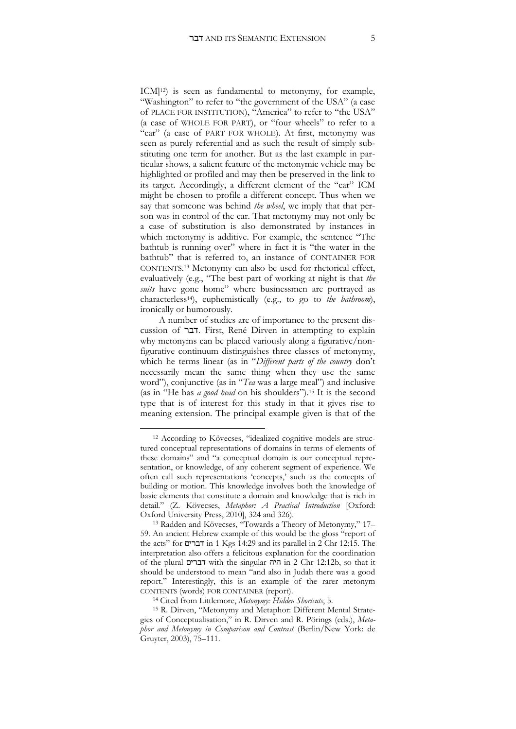ICM]12) is seen as fundamental to metonymy, for example, "Washington" to refer to "the government of the USA" (a case of PLACE FOR INSTITUTION), "America" to refer to "the USA" (a case of WHOLE FOR PART), or "four wheels" to refer to a "car" (a case of PART FOR WHOLE). At first, metonymy was seen as purely referential and as such the result of simply substituting one term for another. But as the last example in particular shows, a salient feature of the metonymic vehicle may be highlighted or profiled and may then be preserved in the link to its target. Accordingly, a different element of the "car" ICM might be chosen to profile a different concept. Thus when we say that someone was behind *the wheel*, we imply that that person was in control of the car. That metonymy may not only be a case of substitution is also demonstrated by instances in which metonymy is additive. For example, the sentence "The bathtub is running over" where in fact it is "the water in the bathtub" that is referred to, an instance of CONTAINER FOR CONTENTS. <sup>13</sup> Metonymy can also be used for rhetorical effect, evaluatively (e.g., "The best part of working at night is that *the suits* have gone home" where businessmen are portrayed as characterless14), euphemistically (e.g., to go to *the bathroom*), ironically or humorously.

A number of studies are of importance to the present discussion of דבר. First, René Dirven in attempting to explain why metonyms can be placed variously along a figurative/nonfigurative continuum distinguishes three classes of metonymy, which he terms linear (as in "*Different parts of the country* don't necessarily mean the same thing when they use the same word"), conjunctive (as in "*Tea* was a large meal") and inclusive (as in "He has *a good head* on his shoulders").<sup>15</sup> It is the second type that is of interest for this study in that it gives rise to meaning extension. The principal example given is that of the

<sup>12</sup> According to Kövecses, "idealized cognitive models are structured conceptual representations of domains in terms of elements of these domains" and "a conceptual domain is our conceptual representation, or knowledge, of any coherent segment of experience. We often call such representations 'concepts,' such as the concepts of building or motion. This knowledge involves both the knowledge of basic elements that constitute a domain and knowledge that is rich in detail." (Z. Kövecses, *Metaphor: A Practical Introduction* [Oxford: Oxford University Press, 2010], 324 and 326).

<sup>13</sup> Radden and Kövecses, "Towards a Theory of Metonymy," 17– 59. An ancient Hebrew example of this would be the gloss "report of the acts" for דברים in 1 Kgs 14:29 and its parallel in 2 Chr 12:15. The interpretation also offers a felicitous explanation for the coordination of the plural דברים with the singular היה in 2 Chr 12:12b, so that it should be understood to mean "and also in Judah there was a good report." Interestingly, this is an example of the rarer metonym CONTENTS (words) FOR CONTAINER (report).

<sup>14</sup> Cited from Littlemore, *Metonymy: Hidden Shortcuts*, 5.

<sup>15</sup> R. Dirven, "Metonymy and Metaphor: Different Mental Strategies of Conceptualisation," in R. Dirven and R. Pörings (eds.), *Metaphor and Metonymy in Comparison and Contrast* (Berlin/New York: de Gruyter, 2003), 75–111.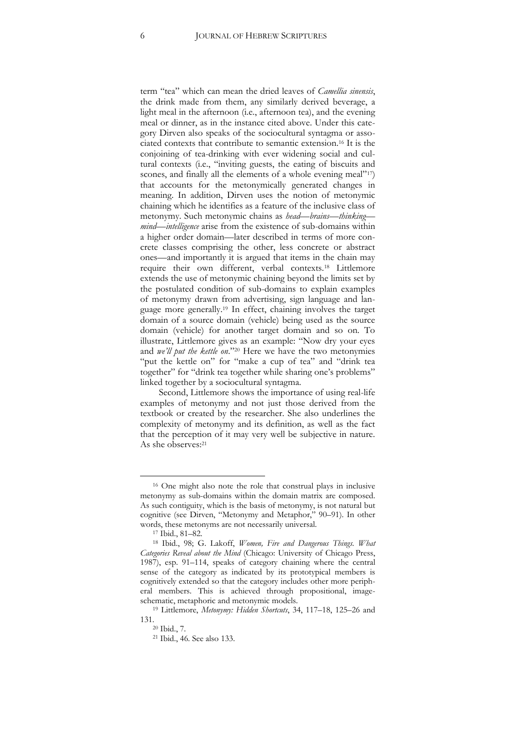term "tea" which can mean the dried leaves of *Camellia sinensis*, the drink made from them, any similarly derived beverage, a light meal in the afternoon (i.e., afternoon tea), and the evening meal or dinner, as in the instance cited above. Under this category Dirven also speaks of the sociocultural syntagma or associated contexts that contribute to semantic extension.<sup>16</sup> It is the conjoining of tea-drinking with ever widening social and cultural contexts (i.e., "inviting guests, the eating of biscuits and scones, and finally all the elements of a whole evening meal"<sup>17</sup>) that accounts for the metonymically generated changes in meaning. In addition, Dirven uses the notion of metonymic chaining which he identifies as a feature of the inclusive class of metonymy. Such metonymic chains as *head—brains—thinking mind—intelligence* arise from the existence of sub-domains within a higher order domain—later described in terms of more concrete classes comprising the other, less concrete or abstract ones—and importantly it is argued that items in the chain may require their own different, verbal contexts.<sup>18</sup> Littlemore extends the use of metonymic chaining beyond the limits set by the postulated condition of sub-domains to explain examples of metonymy drawn from advertising, sign language and language more generally.<sup>19</sup> In effect, chaining involves the target domain of a source domain (vehicle) being used as the source domain (vehicle) for another target domain and so on. To illustrate, Littlemore gives as an example: "Now dry your eyes and *we'll put the kettle on*."<sup>20</sup> Here we have the two metonymies "put the kettle on" for "make a cup of tea" and "drink tea together" for "drink tea together while sharing one's problems" linked together by a sociocultural syntagma.

Second, Littlemore shows the importance of using real-life examples of metonymy and not just those derived from the textbook or created by the researcher. She also underlines the complexity of metonymy and its definition, as well as the fact that the perception of it may very well be subjective in nature. As she observes:<sup>21</sup>

<sup>16</sup> One might also note the role that construal plays in inclusive metonymy as sub-domains within the domain matrix are composed. As such contiguity, which is the basis of metonymy, is not natural but cognitive (see Dirven, "Metonymy and Metaphor," 90–91). In other words, these metonyms are not necessarily universal.

<sup>17</sup> Ibid., 81–82.

<sup>18</sup> Ibid., 98; G. Lakoff, *Women, Fire and Dangerous Things. What Categories Reveal about the Mind* (Chicago: University of Chicago Press, 1987), esp. 91–114, speaks of category chaining where the central sense of the category as indicated by its prototypical members is cognitively extended so that the category includes other more peripheral members. This is achieved through propositional, imageschematic, metaphoric and metonymic models.

<sup>19</sup> Littlemore, *Metonymy: Hidden Shortcuts*, 34, 117–18, 125–26 and 131.

<sup>20</sup> Ibid., 7.

<sup>21</sup> Ibid., 46. See also 133.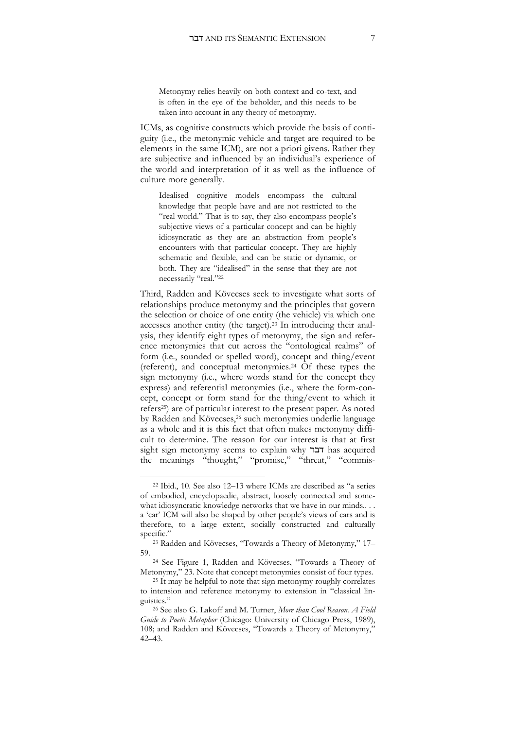Metonymy relies heavily on both context and co-text, and is often in the eye of the beholder, and this needs to be taken into account in any theory of metonymy.

ICMs, as cognitive constructs which provide the basis of contiguity (i.e., the metonymic vehicle and target are required to be elements in the same ICM), are not a priori givens. Rather they are subjective and influenced by an individual's experience of the world and interpretation of it as well as the influence of culture more generally.

Idealised cognitive models encompass the cultural knowledge that people have and are not restricted to the "real world." That is to say, they also encompass people's subjective views of a particular concept and can be highly idiosyncratic as they are an abstraction from people's encounters with that particular concept. They are highly schematic and flexible, and can be static or dynamic, or both. They are "idealised" in the sense that they are not necessarily "real."<sup>22</sup>

Third, Radden and Kövecses seek to investigate what sorts of relationships produce metonymy and the principles that govern the selection or choice of one entity (the vehicle) via which one accesses another entity (the target).<sup>23</sup> In introducing their analysis, they identify eight types of metonymy, the sign and reference metonymies that cut across the "ontological realms" of form (i.e., sounded or spelled word), concept and thing/event (referent), and conceptual metonymies.<sup>24</sup> Of these types the sign metonymy (i.e., where words stand for the concept they express) and referential metonymies (i.e., where the form-concept, concept or form stand for the thing/event to which it refers25) are of particular interest to the present paper. As noted by Radden and Kövecses,<sup>26</sup> such metonymies underlie language as a whole and it is this fact that often makes metonymy difficult to determine. The reason for our interest is that at first sight sign metonymy seems to explain why דבר has acquired the meanings "thought," "promise," "threat," "commis-

<sup>22</sup> Ibid., 10. See also 12–13 where ICMs are described as "a series of embodied, encyclopaedic, abstract, loosely connected and somewhat idiosyncratic knowledge networks that we have in our minds.... a 'car' ICM will also be shaped by other people's views of cars and is therefore, to a large extent, socially constructed and culturally specific."

<sup>23</sup> Radden and Kövecses, "Towards a Theory of Metonymy," 17– 59.

<sup>24</sup> See Figure 1, Radden and Kövecses, "Towards a Theory of Metonymy," 23. Note that concept metonymies consist of four types.

<sup>&</sup>lt;sup>25</sup> It may be helpful to note that sign metonymy roughly correlates to intension and reference metonymy to extension in "classical linguistics."

<sup>26</sup> See also G. Lakoff and M. Turner, *More than Cool Reason. A Field Guide to Poetic Metaphor* (Chicago: University of Chicago Press, 1989), 108; and Radden and Kövecses, "Towards a Theory of Metonymy," 42–43.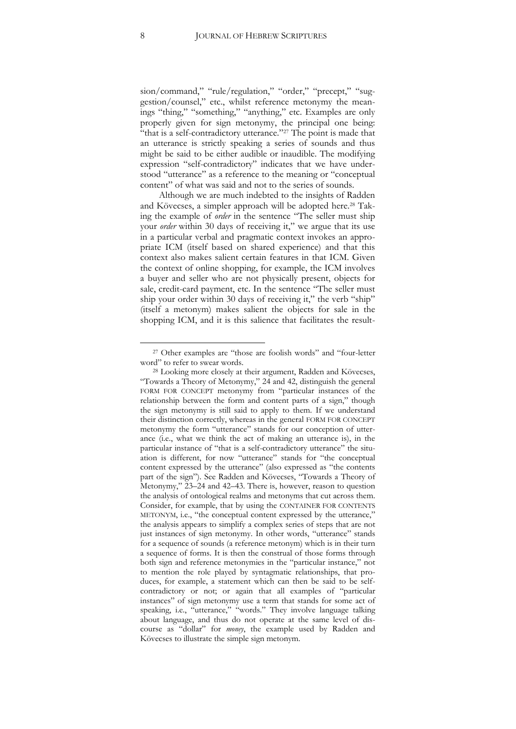sion/command," "rule/regulation," "order," "precept," "suggestion/counsel," etc., whilst reference metonymy the meanings "thing," "something," "anything," etc. Examples are only properly given for sign metonymy, the principal one being: "that is a self-contradictory utterance."<sup>27</sup> The point is made that an utterance is strictly speaking a series of sounds and thus might be said to be either audible or inaudible. The modifying expression "self-contradictory" indicates that we have understood "utterance" as a reference to the meaning or "conceptual content" of what was said and not to the series of sounds.

Although we are much indebted to the insights of Radden and Kövecses, a simpler approach will be adopted here.<sup>28</sup> Taking the example of *order* in the sentence "The seller must ship your *order* within 30 days of receiving it," we argue that its use in a particular verbal and pragmatic context invokes an appropriate ICM (itself based on shared experience) and that this context also makes salient certain features in that ICM. Given the context of online shopping, for example, the ICM involves a buyer and seller who are not physically present, objects for sale, credit-card payment, etc. In the sentence "The seller must ship your order within 30 days of receiving it," the verb "ship" (itself a metonym) makes salient the objects for sale in the shopping ICM, and it is this salience that facilitates the result-

<sup>27</sup> Other examples are "those are foolish words" and "four-letter word" to refer to swear words.

<sup>28</sup> Looking more closely at their argument, Radden and Kövecses, "Towards a Theory of Metonymy," 24 and 42, distinguish the general FORM FOR CONCEPT metonymy from "particular instances of the relationship between the form and content parts of a sign," though the sign metonymy is still said to apply to them. If we understand their distinction correctly, whereas in the general FORM FOR CONCEPT metonymy the form "utterance" stands for our conception of utterance (i.e., what we think the act of making an utterance is), in the particular instance of "that is a self-contradictory utterance" the situation is different, for now "utterance" stands for "the conceptual content expressed by the utterance" (also expressed as "the contents part of the sign"). See Radden and Kövecses, "Towards a Theory of Metonymy," 23–24 and 42–43. There is, however, reason to question the analysis of ontological realms and metonyms that cut across them. Consider, for example, that by using the CONTAINER FOR CONTENTS METONYM, i.e., "the conceptual content expressed by the utterance," the analysis appears to simplify a complex series of steps that are not just instances of sign metonymy. In other words, "utterance" stands for a sequence of sounds (a reference metonym) which is in their turn a sequence of forms. It is then the construal of those forms through both sign and reference metonymies in the "particular instance," not to mention the role played by syntagmatic relationships, that produces, for example, a statement which can then be said to be selfcontradictory or not; or again that all examples of "particular instances" of sign metonymy use a term that stands for some act of speaking, i.e., "utterance," "words." They involve language talking about language, and thus do not operate at the same level of discourse as "dollar" for *money*, the example used by Radden and Kövecses to illustrate the simple sign metonym.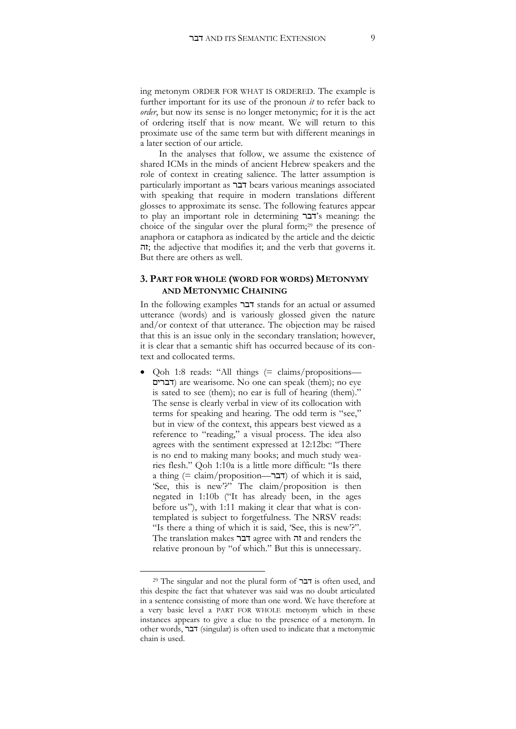ing metonym ORDER FOR WHAT IS ORDERED. The example is further important for its use of the pronoun *it* to refer back to *order*, but now its sense is no longer metonymic; for it is the act of ordering itself that is now meant. We will return to this proximate use of the same term but with different meanings in a later section of our article.

In the analyses that follow, we assume the existence of shared ICMs in the minds of ancient Hebrew speakers and the role of context in creating salience. The latter assumption is particularly important as דבר bears various meanings associated with speaking that require in modern translations different glosses to approximate its sense. The following features appear to play an important role in determining דבר's meaning: the choice of the singular over the plural form;<sup>29</sup> the presence of anaphora or cataphora as indicated by the article and the deictic  $\pi$ ; the adjective that modifies it; and the verb that governs it. But there are others as well.

#### **3. PART FOR WHOLE (WORD FOR WORDS) METONYMY AND METONYMIC CHAINING**

In the following examples דבר stands for an actual or assumed utterance (words) and is variously glossed given the nature and/or context of that utterance. The objection may be raised that this is an issue only in the secondary translation; however, it is clear that a semantic shift has occurred because of its context and collocated terms.

 Qoh 1:8 reads: "All things (= claims/propositions— דברים (are wearisome. No one can speak (them); no eye is sated to see (them); no ear is full of hearing (them)." The sense is clearly verbal in view of its collocation with terms for speaking and hearing. The odd term is "see," but in view of the context, this appears best viewed as a reference to "reading," a visual process. The idea also agrees with the sentiment expressed at 12:12bc: "There is no end to making many books; and much study wearies flesh." Qoh 1:10a is a little more difficult: "Is there a thing  $(=$  claim/proposition— $\exists$ דבר ( $\forall$ דבר (of which it is said, 'See, this is new'?" The claim/proposition is then negated in 1:10b ("It has already been, in the ages before us"), with 1:11 making it clear that what is contemplated is subject to forgetfulness. The NRSV reads: "Is there a thing of which it is said, 'See, this is new'?". The translation makes דבר agree with זה and renders the relative pronoun by "of which." But this is unnecessary.

<sup>29</sup> The singular and not the plural form of דבר is often used, and this despite the fact that whatever was said was no doubt articulated in a sentence consisting of more than one word. We have therefore at a very basic level a PART FOR WHOLE metonym which in these instances appears to give a clue to the presence of a metonym. In other words, דבר) singular) is often used to indicate that a metonymic chain is used.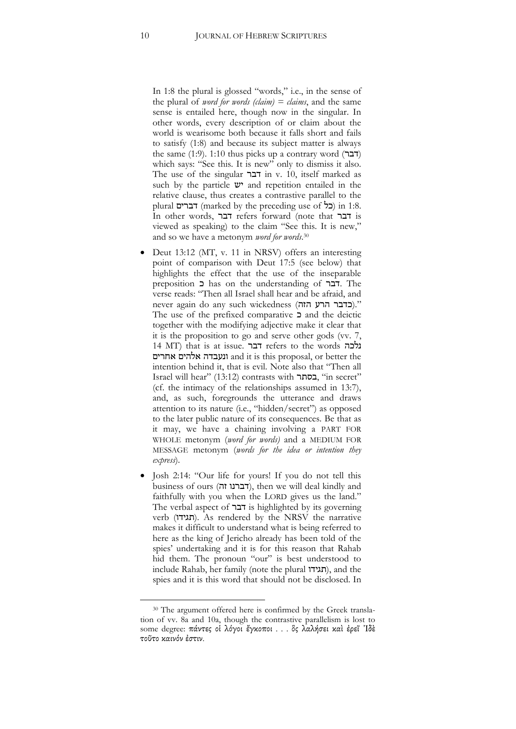In 1:8 the plural is glossed "words," i.e., in the sense of the plural of *word for words (claim) = claims*, and the same sense is entailed here, though now in the singular. In other words, every description of or claim about the world is wearisome both because it falls short and fails to satisfy (1:8) and because its subject matter is always the same  $(1:9)$ . 1:10 thus picks up a contrary word  $(T\Xi)$ which says: "See this. It is new" only to dismiss it also. The use of the singular דבר in v. 10, itself marked as such by the particle  $\mathbf{v}$  and repetition entailed in the relative clause, thus creates a contrastive parallel to the plural דברים) marked by the preceding use of  $\geq$  in 1:8. In other words, דבר refers forward (note that דבר is viewed as speaking) to the claim "See this. It is new," and so we have a metonym *word for words*. 30

- Deut 13:12 (MT, v. 11 in NRSV) offers an interesting point of comparison with Deut 17:5 (see below) that highlights the effect that the use of the inseparable preposition כ has on the understanding of דבר. The verse reads: "Then all Israel shall hear and be afraid, and never again do any such wickedness (כדבר הרע הזה)." The use of the prefixed comparative  $\Box$  and the deictic together with the modifying adjective make it clear that it is the proposition to go and serve other gods (vv. 7, 14 MT) that is at issue. דבר refers to the words נלכה אחרים אלהים ונעבדה and it is this proposal, or better the intention behind it, that is evil. Note also that "Then all Israel will hear" (13:12) contrasts with בסתר," in secret" (cf. the intimacy of the relationships assumed in 13:7), and, as such, foregrounds the utterance and draws attention to its nature (i.e., "hidden/secret") as opposed to the later public nature of its consequences. Be that as it may, we have a chaining involving a PART FOR WHOLE metonym (*word for words)* and a MEDIUM FOR MESSAGE metonym (*words for the idea or intention they express*).
- Josh 2:14: "Our life for yours! If you do not tell this business of ours (דברנו זה), then we will deal kindly and faithfully with you when the LORD gives us the land." The verbal aspect of דבר is highlighted by its governing verb (תגידו). As rendered by the NRSV the narrative makes it difficult to understand what is being referred to here as the king of Jericho already has been told of the spies' undertaking and it is for this reason that Rahab hid them. The pronoun "our" is best understood to include Rahab, her family (note the plural תגידו(, and the spies and it is this word that should not be disclosed. In

<sup>&</sup>lt;sup>30</sup> The argument offered here is confirmed by the Greek translation of vv. 8a and 10a, though the contrastive parallelism is lost to some degree: πάντες οἱ λόγοι ἔγκοποι . . . ὃς λαλήσει καὶ ἐρεῖ ᾿Ιδὲ τοῦτο καινόν ἐστιν.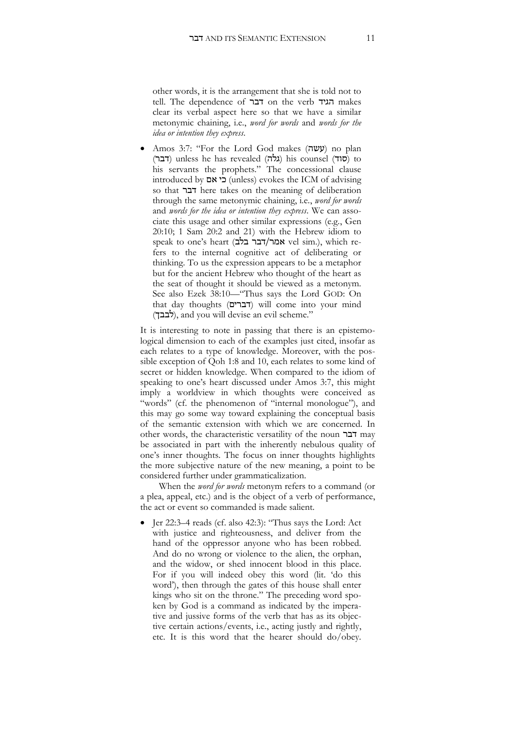other words, it is the arrangement that she is told not to tell. The dependence of דבר on the verb הגיד makes clear its verbal aspect here so that we have a similar metonymic chaining, i.e., *word for words* and *words for the idea or intention they express*.

Amos 3:7: "For the Lord God makes (עשה) no plan (דבר) unless he has revealed (גלה) his counsel (דבר) to his servants the prophets." The concessional clause introduced by כי אם (unless) evokes the ICM of advising so that דבר here takes on the meaning of deliberation through the same metonymic chaining, i.e., *word for words* and *words for the idea or intention they express*. We can associate this usage and other similar expressions (e.g., Gen 20:10; 1 Sam 20:2 and 21) with the Hebrew idiom to speak to one's heart (בלבר בלב) vel sim.), which refers to the internal cognitive act of deliberating or thinking. To us the expression appears to be a metaphor but for the ancient Hebrew who thought of the heart as the seat of thought it should be viewed as a metonym. See also Ezek 38:10—"Thus says the Lord GOD: On that day thoughts (דברים) will come into your mind (לבבך), and you will devise an evil scheme."

It is interesting to note in passing that there is an epistemological dimension to each of the examples just cited, insofar as each relates to a type of knowledge. Moreover, with the possible exception of Qoh 1:8 and 10, each relates to some kind of secret or hidden knowledge. When compared to the idiom of speaking to one's heart discussed under Amos 3:7, this might imply a worldview in which thoughts were conceived as "words" (cf. the phenomenon of "internal monologue"), and this may go some way toward explaining the conceptual basis of the semantic extension with which we are concerned. In other words, the characteristic versatility of the noun דבר may be associated in part with the inherently nebulous quality of one's inner thoughts. The focus on inner thoughts highlights the more subjective nature of the new meaning, a point to be considered further under grammaticalization.

When the *word for words* metonym refers to a command (or a plea, appeal, etc.) and is the object of a verb of performance, the act or event so commanded is made salient.

 Jer 22:3–4 reads (cf. also 42:3): "Thus says the Lord: Act with justice and righteousness, and deliver from the hand of the oppressor anyone who has been robbed. And do no wrong or violence to the alien, the orphan, and the widow, or shed innocent blood in this place. For if you will indeed obey this word (lit. 'do this word'), then through the gates of this house shall enter kings who sit on the throne." The preceding word spoken by God is a command as indicated by the imperative and jussive forms of the verb that has as its objective certain actions/events, i.e., acting justly and rightly, etc. It is this word that the hearer should do/obey.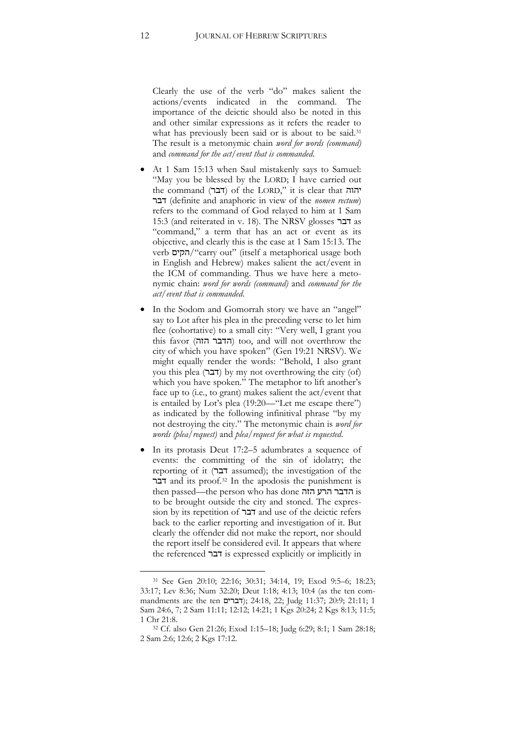Clearly the use of the verb "do" makes salient the actions/events indicated in the command. The importance of the deictic should also be noted in this and other similar expressions as it refers the reader to what has previously been said or is about to be said.<sup>31</sup> The result is a metonymic chain *word for words (command)* and *command for the act/event that is commanded*.

- At 1 Sam 15:13 when Saul mistakenly says to Samuel: "May you be blessed by the LORD; I have carried out the command (דבר) of the LORD," it is clear that יהוה דבר) definite and anaphoric in view of the *nomen rectum*) refers to the command of God relayed to him at 1 Sam 15:3 (and reiterated in v. 18). The NRSV glosses דבר as "command," a term that has an act or event as its objective, and clearly this is the case at 1 Sam 15:13. The verb הקים/"carry out" (itself a metaphorical usage both in English and Hebrew) makes salient the act/event in the ICM of commanding. Thus we have here a metonymic chain: *word for words (command)* and *command for the act/event that is commanded*.
- In the Sodom and Gomorrah story we have an "angel" say to Lot after his plea in the preceding verse to let him flee (cohortative) to a small city: "Very well, I grant you this favor (הדבר הזה) too, and will not overthrow the city of which you have spoken" (Gen 19:21 NRSV). We might equally render the words: "Behold, I also grant you this plea (דבר) by my not overthrowing the city (of) which you have spoken." The metaphor to lift another's face up to (i.e., to grant) makes salient the act/event that is entailed by Lot's plea (19:20—"Let me escape there") as indicated by the following infinitival phrase "by my not destroying the city." The metonymic chain is *word for words (plea/request)* and *plea/request for what is requested*.
- In its protasis Deut 17:2–5 adumbrates a sequence of events: the committing of the sin of idolatry; the reporting of it (דבר assumed); the investigation of the דבר and its proof.<sup>32</sup> In the apodosis the punishment is then passed—the person who has done הזה הרע הדבר is to be brought outside the city and stoned. The expression by its repetition of דבר and use of the deictic refers back to the earlier reporting and investigation of it. But clearly the offender did not make the report, nor should the report itself be considered evil. It appears that where the referenced דבר is expressed explicitly or implicitly in

<sup>31</sup> See Gen 20:10; 22:16; 30:31; 34:14, 19; Exod 9:5–6; 18:23; 33:17; Lev 8:36; Num 32:20; Deut 1:18; 4:13; 10:4 (as the ten commandments are the ten דברים ;(24:18, 22 ;Judg 11:37; 20:9; 21:11; 1 Sam 24:6, 7; 2 Sam 11:11; 12:12; 14:21; 1 Kgs 20:24; 2 Kgs 8:13; 11:5; 1 Chr 21:8.

<sup>32</sup> Cf. also Gen 21:26; Exod 1:15–18; Judg 6:29; 8:1; 1 Sam 28:18; 2 Sam 2:6; 12:6; 2 Kgs 17:12.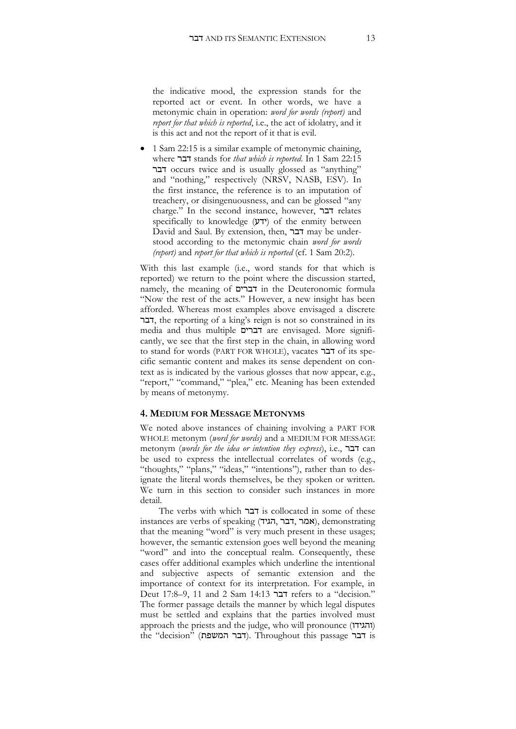the indicative mood, the expression stands for the reported act or event. In other words, we have a metonymic chain in operation: *word for words (report)* and *report for that which is reported*, i.e., the act of idolatry, and it is this act and not the report of it that is evil.

 1 Sam 22:15 is a similar example of metonymic chaining, where דבר stands for *that which is reported*. In 1 Sam 22:15 דבר occurs twice and is usually glossed as "anything" and "nothing," respectively (NRSV, NASB, ESV). In the first instance, the reference is to an imputation of treachery, or disingenuousness, and can be glossed "any charge." In the second instance, however, דבר relates specifically to knowledge  $(27)$  of the enmity between David and Saul. By extension, then, דבר may be understood according to the metonymic chain *word for words (report)* and *report for that which is reported* (cf. 1 Sam 20:2).

With this last example (i.e., word stands for that which is reported) we return to the point where the discussion started, namely, the meaning of דברים in the Deuteronomic formula "Now the rest of the acts." However, a new insight has been afforded. Whereas most examples above envisaged a discrete דבר, the reporting of a king's reign is not so constrained in its media and thus multiple דברים are envisaged. More significantly, we see that the first step in the chain, in allowing word to stand for words (PART FOR WHOLE), vacates דבר of its specific semantic content and makes its sense dependent on context as is indicated by the various glosses that now appear, e.g., "report," "command," "plea," etc. Meaning has been extended by means of metonymy.

#### **4. MEDIUM FOR MESSAGE METONYMS**

We noted above instances of chaining involving a PART FOR WHOLE metonym (*word for words)* and a MEDIUM FOR MESSAGE metonym (*words for the idea or intention they express*), i.e., דבר can be used to express the intellectual correlates of words (e.g., "thoughts," "plans," "ideas," "intentions"), rather than to designate the literal words themselves, be they spoken or written. We turn in this section to consider such instances in more detail.

The verbs with which דבר is collocated in some of these instances are verbs of speaking (הגיד, דבר, אמר(, demonstrating that the meaning "word" is very much present in these usages; however, the semantic extension goes well beyond the meaning "word" and into the conceptual realm. Consequently, these cases offer additional examples which underline the intentional and subjective aspects of semantic extension and the importance of context for its interpretation. For example, in Deut 17:8–9, 11 and 2 Sam 14:13 דבר refers to a "decision." The former passage details the manner by which legal disputes must be settled and explains that the parties involved must approach the priests and the judge, who will pronounce (והגידו) the "decision" (דבר המשפת). Throughout this passage דבר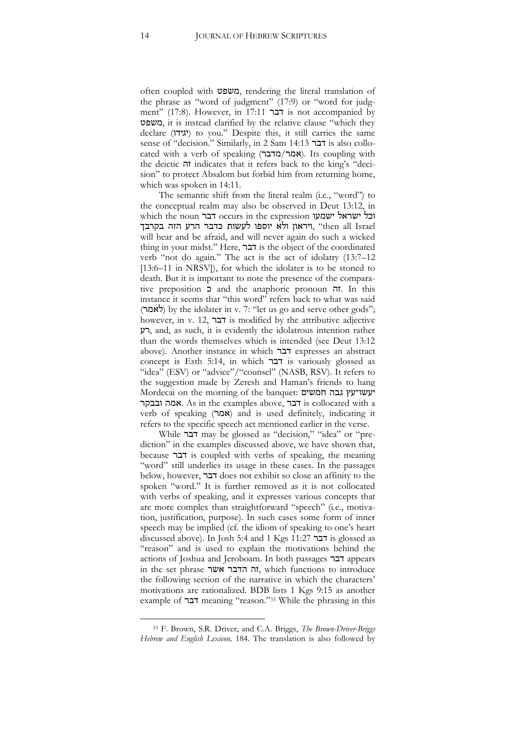often coupled with משפט, rendering the literal translation of the phrase as "word of judgment" (17:9) or "word for judgment" (17:8). However, in 17:11 דבר is not accompanied by משפט, it is instead clarified by the relative clause "which they declare (יגידו) to you." Despite this, it still carries the same sense of "decision." Similarly, in 2 Sam 14:13 דבר is also collocated with a verb of speaking (מדבר/אמר(. Its coupling with the deictic זה indicates that it refers back to the king's "decision" to protect Absalom but forbid him from returning home, which was spoken in 14:11.

The semantic shift from the literal realm (i.e., "word") to the conceptual realm may also be observed in Deut 13:12, in which the noun דבר occurs in the expression ישמעו ישראל וכל ויראון ולא יוספו לעשות כדבר הרע הזה בקרבך, "then all Israel will hear and be afraid, and will never again do such a wicked thing in your midst." Here, דבר is the object of the coordinated verb "not do again." The act is the act of idolatry (13:7–12 [13:6–11 in NRSV]), for which the idolater is to be stoned to death. But it is important to note the presence of the comparative preposition כ and the anaphoric pronoun זה. In this instance it seems that "this word" refers back to what was said (לאמר) by the idolater in v. 7: "let us go and serve other gods"; however, in v. 12, דבר is modified by the attributive adjective רע, and, as such, it is evidently the idolatrous intention rather than the words themselves which is intended (see Deut 13:12 above). Another instance in which דבר expresses an abstract concept is Esth 5:14, in which דבר is variously glossed as "idea" (ESV) or "advice"/"counsel" (NASB, RSV). It refers to the suggestion made by Zeresh and Haman's friends to hang Mordecai on the morning of the banquet: חמשים גבה יעשו־עץ ובבקר אמה. As in the examples above, דבר is collocated with a verb of speaking (אמר) and is used definitely, indicating it refers to the specific speech act mentioned earlier in the verse.

While דבר may be glossed as "decision," "idea" or "prediction" in the examples discussed above, we have shown that, because דבר is coupled with verbs of speaking, the meaning "word" still underlies its usage in these cases. In the passages below, however, דבר does not exhibit so close an affinity to the spoken "word." It is further removed as it is not collocated with verbs of speaking, and it expresses various concepts that are more complex than straightforward "speech" (i.e., motivation, justification, purpose). In such cases some form of inner speech may be implied (cf. the idiom of speaking to one's heart discussed above). In Josh 5:4 and 1 Kgs 11:27 דבר is glossed as "reason" and is used to explain the motivations behind the actions of Joshua and Jeroboam. In both passages דבר appears in the set phrase אשר הדבר זה, which functions to introduce the following section of the narrative in which the characters' motivations are rationalized. BDB lists 1 Kgs 9:15 as another example of דבר meaning "reason."<sup>33</sup> While the phrasing in this

<sup>33</sup> F. Brown, S.R. Driver, and C.A. Briggs, *The Brown-Driver-Briggs Hebrew and English Lexicon,* 184. The translation is also followed by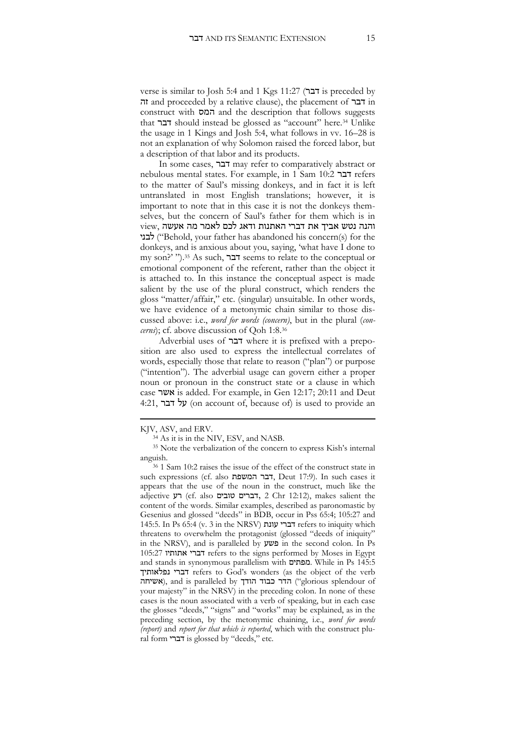verse is similar to Josh 5:4 and 1 Kgs 11:27 (דבר is preceded by זה and proceeded by a relative clause), the placement of דבר in construct with המס and the description that follows suggests that דבר should instead be glossed as "account" here.<sup>34</sup> Unlike the usage in 1 Kings and Josh 5:4, what follows in vv. 16–28 is not an explanation of why Solomon raised the forced labor, but a description of that labor and its products.

In some cases, דבר may refer to comparatively abstract or nebulous mental states. For example, in 1 Sam 10:2 דבר refers to the matter of Saul's missing donkeys, and in fact it is left untranslated in most English translations; however, it is important to note that in this case it is not the donkeys themselves, but the concern of Saul's father for them which is in והנה נטש אביך את דברי האתנות ודאג לכם לאמר מה אעשה ,view לבני") Behold, your father has abandoned his concern(s) for the donkeys, and is anxious about you, saying, 'what have I done to my son?' ").<sup>35</sup> As such, דבר seems to relate to the conceptual or emotional component of the referent, rather than the object it is attached to. In this instance the conceptual aspect is made salient by the use of the plural construct, which renders the gloss "matter/affair," etc. (singular) unsuitable. In other words, we have evidence of a metonymic chain similar to those discussed above: i.e., *word for words (concern)*, but in the plural (*concerns*); cf. above discussion of Qoh 1:8.<sup>36</sup>

Adverbial uses of דבר where it is prefixed with a preposition are also used to express the intellectual correlates of words, especially those that relate to reason ("plan") or purpose ("intention"). The adverbial usage can govern either a proper noun or pronoun in the construct state or a clause in which case אשר is added. For example, in Gen 12:17; 20:11 and Deut 4:21, על דבר (on account of, because of) is used to provide an

KJV, ASV, and ERV.

<sup>34</sup> As it is in the NIV, ESV, and NASB.

<sup>35</sup> Note the verbalization of the concern to express Kish's internal anguish.

<sup>36</sup> 1 Sam 10:2 raises the issue of the effect of the construct state in such expressions (cf. also המשפת דבר, Deut 17:9). In such cases it appears that the use of the noun in the construct, much like the adjective רע) cf. also טובים דברים, 2 Chr 12:12), makes salient the content of the words. Similar examples, described as paronomastic by Gesenius and glossed "deeds" in BDB, occur in Pss 65:4; 105:27 and 145:5. In Ps 65:4 (v. 3 in the NRSV) עונת דברי refers to iniquity which threatens to overwhelm the protagonist (glossed "deeds of iniquity" in the NRSV), and is paralleled by פשע in the second colon. In Ps 105:27 אתותיו דברי refers to the signs performed by Moses in Egypt and stands in synonymous parallelism with מפתים. While in Ps 145:5 נפלאותיך דברי refers to God's wonders (as the object of the verb אשיחה), and is paralleled by הרר כבוד הודך), and is paralleled by הרר כבוד your majesty" in the NRSV) in the preceding colon. In none of these cases is the noun associated with a verb of speaking, but in each case the glosses "deeds," "signs" and "works" may be explained, as in the preceding section, by the metonymic chaining, i.e., *word for words (report)* and *report for that which is reported*, which with the construct plural form דברי is glossed by "deeds," etc.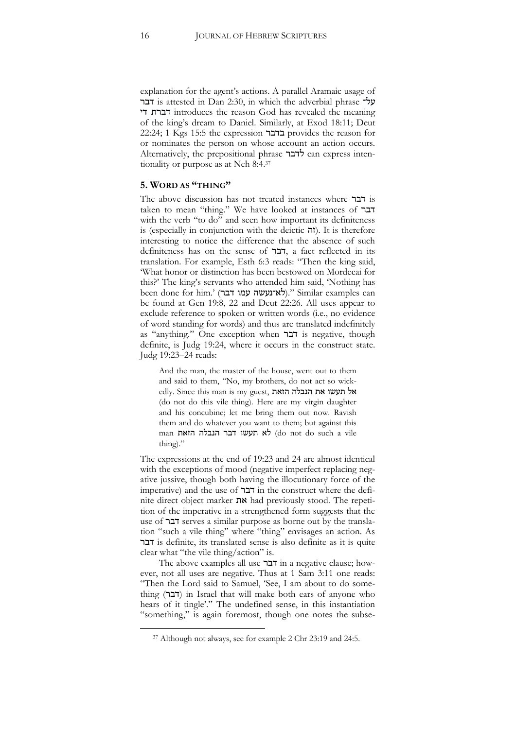explanation for the agent's actions. A parallel Aramaic usage of דבר is attested in Dan 2:30, in which the adverbial phrase על־ די דברת introduces the reason God has revealed the meaning of the king's dream to Daniel. Similarly, at Exod 18:11; Deut 22:24; 1 Kgs 15:5 the expression בדבר provides the reason for or nominates the person on whose account an action occurs. Alternatively, the prepositional phrase לדבר can express intentionality or purpose as at Neh 8:4.<sup>37</sup>

#### **5. WORD AS "THING"**

The above discussion has not treated instances where דבר is taken to mean "thing." We have looked at instances of דבר with the verb "to do" and seen how important its definiteness is (especially in conjunction with the deictic  $\pi$ ). It is therefore interesting to notice the difference that the absence of such definiteness has on the sense of דבר, a fact reflected in its translation. For example, Esth 6:3 reads: "Then the king said, 'What honor or distinction has been bestowed on Mordecai for this?' The king's servants who attended him said, 'Nothing has been done for him.' (לא־נעשה עמו דבר)." Similar examples can be found at Gen 19:8, 22 and Deut 22:26. All uses appear to exclude reference to spoken or written words (i.e., no evidence of word standing for words) and thus are translated indefinitely as "anything." One exception when דבר is negative, though definite, is Judg 19:24, where it occurs in the construct state. Judg 19:23–24 reads:

And the man, the master of the house, went out to them and said to them, "No, my brothers, do not act so wickedly. Since this man is my guest, הזאת הנבלה את תעשו אל (do not do this vile thing). Here are my virgin daughter and his concubine; let me bring them out now. Ravish them and do whatever you want to them; but against this man הזאת הנבלה דבר תעשו לא) do not do such a vile thing)."

The expressions at the end of 19:23 and 24 are almost identical with the exceptions of mood (negative imperfect replacing negative jussive, though both having the illocutionary force of the imperative) and the use of דבר in the construct where the definite direct object marker את had previously stood. The repetition of the imperative in a strengthened form suggests that the use of דבר serves a similar purpose as borne out by the translation "such a vile thing" where "thing" envisages an action. As דבר is definite, its translated sense is also definite as it is quite clear what "the vile thing/action" is.

The above examples all use דבר in a negative clause; however, not all uses are negative. Thus at 1 Sam 3:11 one reads: "Then the Lord said to Samuel, 'See, I am about to do something (דבר) in Israel that will make both ears of anyone who hears of it tingle'." The undefined sense, in this instantiation "something," is again foremost, though one notes the subse-

<sup>&</sup>lt;sup>37</sup> Although not always, see for example 2 Chr 23:19 and 24:5.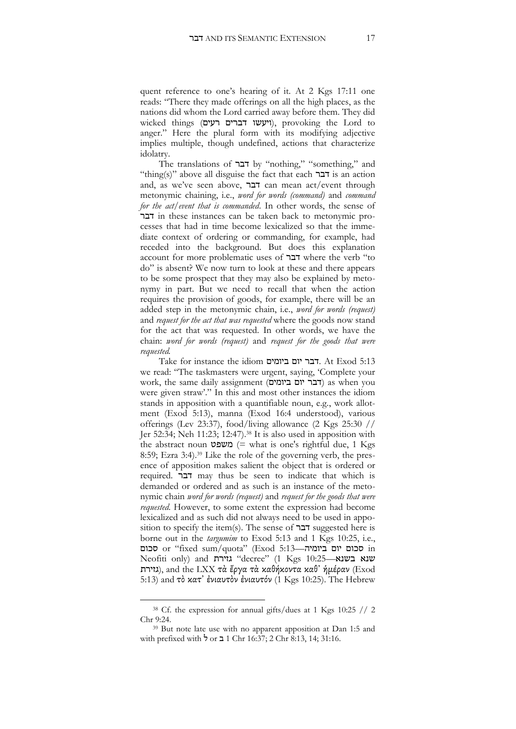quent reference to one's hearing of it. At 2 Kgs 17:11 one reads: "There they made offerings on all the high places, as the nations did whom the Lord carried away before them. They did wicked things (ויעשו דברים רעים), provoking the Lord to anger." Here the plural form with its modifying adjective implies multiple, though undefined, actions that characterize idolatry.

The translations of דבר by "nothing," "something," and "thing(s)" above all disguise the fact that each דבר is an action and, as we've seen above, דבר can mean act/event through metonymic chaining, i.e., *word for words (command)* and *command for the act/event that is commanded*. In other words, the sense of דבר in these instances can be taken back to metonymic processes that had in time become lexicalized so that the immediate context of ordering or commanding, for example, had receded into the background. But does this explanation account for more problematic uses of דבר where the verb "to do" is absent? We now turn to look at these and there appears to be some prospect that they may also be explained by metonymy in part. But we need to recall that when the action requires the provision of goods, for example, there will be an added step in the metonymic chain, i.e., *word for words (request)* and *request for the act that was requested* where the goods now stand for the act that was requested. In other words, we have the chain: *word for words (request)* and *request for the goods that were requested.*

Take for instance the idiom ביומים יום דבר. At Exod 5:13 we read: "The taskmasters were urgent, saying, 'Complete your work, the same daily assignment (ביומים יום דבר (as when you were given straw'." In this and most other instances the idiom stands in apposition with a quantifiable noun, e.g., work allotment (Exod 5:13), manna (Exod 16:4 understood), various offerings (Lev 23:37), food/living allowance (2 Kgs 25:30 // Jer 52:34; Neh 11:23; 12:47).<sup>38</sup> It is also used in apposition with the abstract noun משפט  $($  what is one's rightful due, 1 Kgs 8:59; Ezra 3:4). <sup>39</sup> Like the role of the governing verb, the presence of apposition makes salient the object that is ordered or required. דבר may thus be seen to indicate that which is demanded or ordered and as such is an instance of the metonymic chain *word for words (request)* and *request for the goods that were requested*. However, to some extent the expression had become lexicalized and as such did not always need to be used in apposition to specify the item(s). The sense of  $\exists$ בר suggested here is borne out in the *targumim* to Exod 5:13 and 1 Kgs 10:25, i.e., סכום or "fixed sum/quota" (Exod 5:13—ביומיה יום סכום in Neofiti only) and גזירת "decree" (1 Kgs 10:25—ענא בשנא גזירת), and the LXX τὰ ἔργα τὰ καθήκοντα καθ' ἡμέραν (Exod 5:13) and τὸ κατ' ἐνιαυτὸν ἐνιαυτόν (1 Kgs 10:25). The Hebrew

<sup>&</sup>lt;sup>38</sup> Cf. the expression for annual gifts/dues at 1 Kgs 10:25 // 2 Chr 9:24.

<sup>39</sup> But note late use with no apparent apposition at Dan 1:5 and with prefixed with ל or ב 1 Chr 16:37; 2 Chr 8:13, 14; 31:16.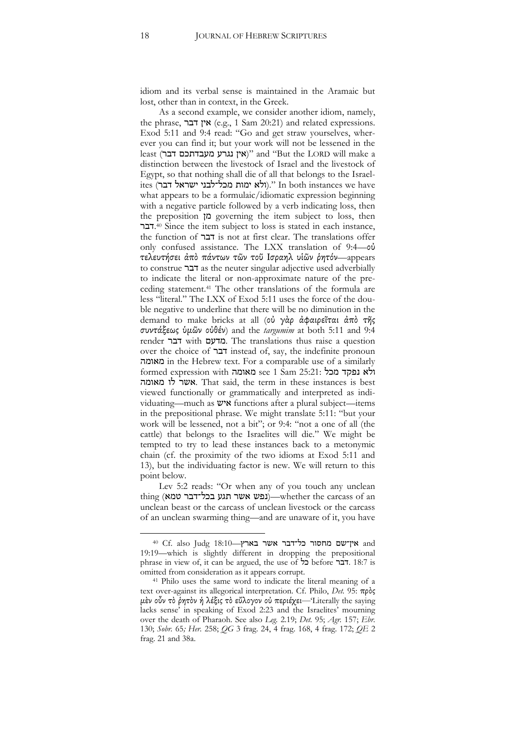idiom and its verbal sense is maintained in the Aramaic but lost, other than in context, in the Greek.

As a second example, we consider another idiom, namely, the phrase, דבר אין) e.g., 1 Sam 20:21) and related expressions. Exod 5:11 and 9:4 read: "Go and get straw yourselves, wherever you can find it; but your work will not be lessened in the least (אין נגרע מעבדתכם דבר)" and "But the LORD will make a distinction between the livestock of Israel and the livestock of Egypt, so that nothing shall die of all that belongs to the Israelites (דבר ישראל דבר ישראל ולא ימות מכל־לבני ישראל ולגו what appears to be a formulaic/idiomatic expression beginning with a negative particle followed by a verb indicating loss, then the preposition מן governing the item subject to loss, then .דבר <sup>40</sup> Since the item subject to loss is stated in each instance, the function of דבר is not at first clear. The translations offer only confused assistance. The LXX translation of 9:4—οὐ τελευτήσει ἀπὸ πάντων τῶν τοῦ Ισραηλ υἱῶν ῥητόν—appears to construe דבר as the neuter singular adjective used adverbially to indicate the literal or non-approximate nature of the preceding statement.<sup>41</sup> The other translations of the formula are less "literal." The LXX of Exod 5:11 uses the force of the double negative to underline that there will be no diminution in the demand to make bricks at all (οὐ γὰρ ἀφαιρεῖται ἀπὸ τῆς συντάξεως ὑμῶν οὐθέν) and the *targumim* at both 5:11 and 9:4 render דבר with מדעם. The translations thus raise a question over the choice of דבר instead of, say, the indefinite pronoun מאומה in the Hebrew text. For a comparable use of a similarly formed expression with מאומה see 1 Sam 25:21: מכל נפקד ולא מאומה לו אשר. That said, the term in these instances is best viewed functionally or grammatically and interpreted as individuating—much as איש functions after a plural subject—items in the prepositional phrase. We might translate 5:11: "but your work will be lessened, not a bit"; or 9:4: "not a one of all (the cattle) that belongs to the Israelites will die." We might be tempted to try to lead these instances back to a metonymic chain (cf. the proximity of the two idioms at Exod 5:11 and 13), but the individuating factor is new. We will return to this point below.

Lev 5:2 reads: "Or when any of you touch any unclean thing (נפש אשר תגע בכל־דבר סמא)—whether the carcass of an unclean beast or the carcass of unclean livestock or the carcass of an unclean swarming thing—and are unaware of it, you have

 $^{40}$  Cf. also Judg  $18:10$ -אין־שם מחסור כל־דבר אשר בארץ 19:19—which is slightly different in dropping the prepositional phrase in view of, it can be argued, the use of כל before דבר. 18:7 is omitted from consideration as it appears corrupt.

<sup>41</sup> Philo uses the same word to indicate the literal meaning of a text over-against its allegorical interpretation. Cf. Philo, *Det.* 95: πρὸς μὲν οὖν τὸ ῥητὸν ἡ λέξις τὸ εὔλογον οὐ περιέχει—'Literally the saying lacks sense' in speaking of Exod 2:23 and the Israelites' mourning over the death of Pharaoh. See also *Leg.* 2.19; *Det.* 95; *Agr.* 157; *Ebr.* 130; *Sobr.* 65*; Her.* 258; *QG* 3 frag. 24, 4 frag. 168, 4 frag. 172; *QE* 2 frag. 21 and 38a.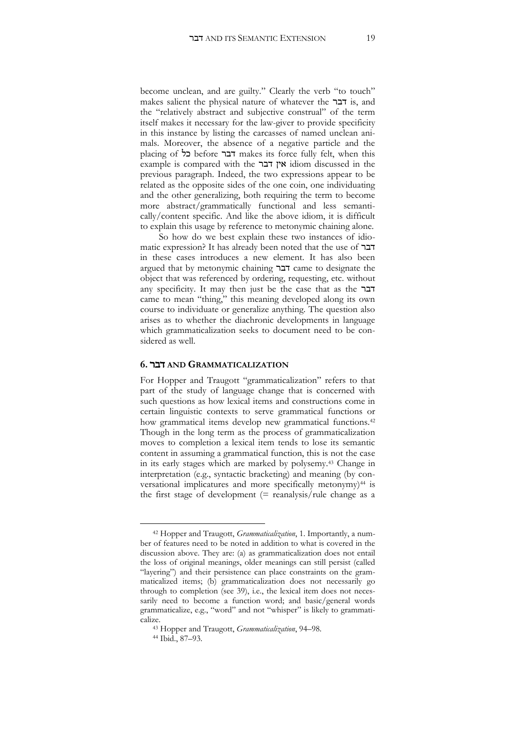become unclean, and are guilty." Clearly the verb "to touch" makes salient the physical nature of whatever the דבר is, and the "relatively abstract and subjective construal" of the term itself makes it necessary for the law-giver to provide specificity in this instance by listing the carcasses of named unclean animals. Moreover, the absence of a negative particle and the placing of כל before דבר makes its force fully felt, when this example is compared with the דבר אין idiom discussed in the previous paragraph. Indeed, the two expressions appear to be related as the opposite sides of the one coin, one individuating and the other generalizing, both requiring the term to become more abstract/grammatically functional and less semantically/content specific. And like the above idiom, it is difficult to explain this usage by reference to metonymic chaining alone.

So how do we best explain these two instances of idiomatic expression? It has already been noted that the use of דבר in these cases introduces a new element. It has also been argued that by metonymic chaining דבר came to designate the object that was referenced by ordering, requesting, etc. without any specificity. It may then just be the case that as the דבר came to mean "thing," this meaning developed along its own course to individuate or generalize anything. The question also arises as to whether the diachronic developments in language which grammaticalization seeks to document need to be considered as well.

#### **6.** דבר **AND GRAMMATICALIZATION**

For Hopper and Traugott "grammaticalization" refers to that part of the study of language change that is concerned with such questions as how lexical items and constructions come in certain linguistic contexts to serve grammatical functions or how grammatical items develop new grammatical functions.<sup>42</sup> Though in the long term as the process of grammaticalization moves to completion a lexical item tends to lose its semantic content in assuming a grammatical function, this is not the case in its early stages which are marked by polysemy.<sup>43</sup> Change in interpretation (e.g., syntactic bracketing) and meaning (by conversational implicatures and more specifically metonymy)<sup>44</sup> is the first stage of development  $(=$  reanalysis/rule change as a

<sup>42</sup> Hopper and Traugott, *Grammaticalization*, 1. Importantly, a number of features need to be noted in addition to what is covered in the discussion above. They are: (a) as grammaticalization does not entail the loss of original meanings, older meanings can still persist (called "layering") and their persistence can place constraints on the grammaticalized items; (b) grammaticalization does not necessarily go through to completion (see 39), i.e., the lexical item does not necessarily need to become a function word; and basic/general words grammaticalize, e.g., "word" and not "whisper" is likely to grammaticalize.

<sup>43</sup> Hopper and Traugott, *Grammaticalization*, 94–98.

<sup>44</sup> Ibid., 87–93.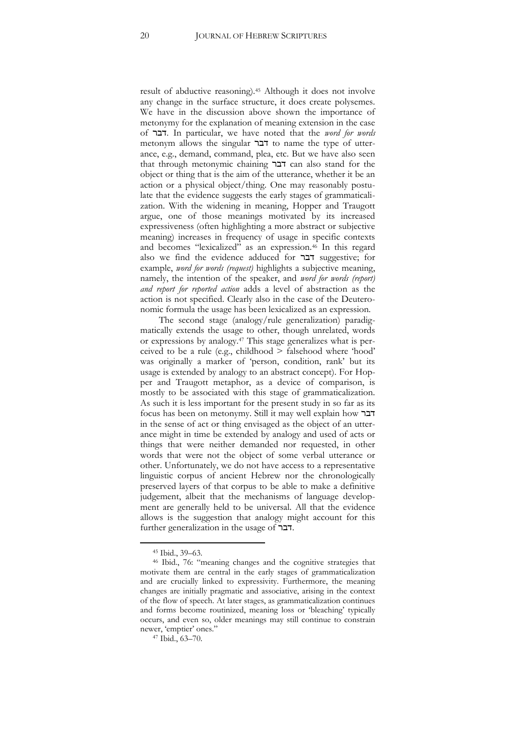result of abductive reasoning).<sup>45</sup> Although it does not involve any change in the surface structure, it does create polysemes. We have in the discussion above shown the importance of metonymy for the explanation of meaning extension in the case of דבר. In particular, we have noted that the *word for words* metonym allows the singular דבר to name the type of utterance, e.g., demand, command, plea, etc. But we have also seen that through metonymic chaining דבר can also stand for the object or thing that is the aim of the utterance, whether it be an action or a physical object/thing. One may reasonably postulate that the evidence suggests the early stages of grammaticalization. With the widening in meaning, Hopper and Traugott argue, one of those meanings motivated by its increased expressiveness (often highlighting a more abstract or subjective meaning) increases in frequency of usage in specific contexts and becomes "lexicalized" as an expression.<sup>46</sup> In this regard also we find the evidence adduced for דבר suggestive; for example, *word for words (request)* highlights a subjective meaning, namely, the intention of the speaker, and *word for words (report) and report for reported action* adds a level of abstraction as the action is not specified. Clearly also in the case of the Deuteronomic formula the usage has been lexicalized as an expression.

The second stage (analogy/rule generalization) paradigmatically extends the usage to other, though unrelated, words or expressions by analogy.<sup>47</sup> This stage generalizes what is perceived to be a rule (e.g., childhood > falsehood where 'hood' was originally a marker of 'person, condition, rank' but its usage is extended by analogy to an abstract concept). For Hopper and Traugott metaphor, as a device of comparison, is mostly to be associated with this stage of grammaticalization. As such it is less important for the present study in so far as its focus has been on metonymy. Still it may well explain how דבר in the sense of act or thing envisaged as the object of an utterance might in time be extended by analogy and used of acts or things that were neither demanded nor requested, in other words that were not the object of some verbal utterance or other. Unfortunately, we do not have access to a representative linguistic corpus of ancient Hebrew nor the chronologically preserved layers of that corpus to be able to make a definitive judgement, albeit that the mechanisms of language development are generally held to be universal. All that the evidence allows is the suggestion that analogy might account for this further generalization in the usage of דבר.

<sup>45</sup> Ibid., 39–63.

<sup>46</sup> Ibid., 76: "meaning changes and the cognitive strategies that motivate them are central in the early stages of grammaticalization and are crucially linked to expressivity. Furthermore, the meaning changes are initially pragmatic and associative, arising in the context of the flow of speech. At later stages, as grammaticalization continues and forms become routinized, meaning loss or 'bleaching' typically occurs, and even so, older meanings may still continue to constrain newer, 'emptier' ones."

<sup>47</sup> Ibid., 63–70.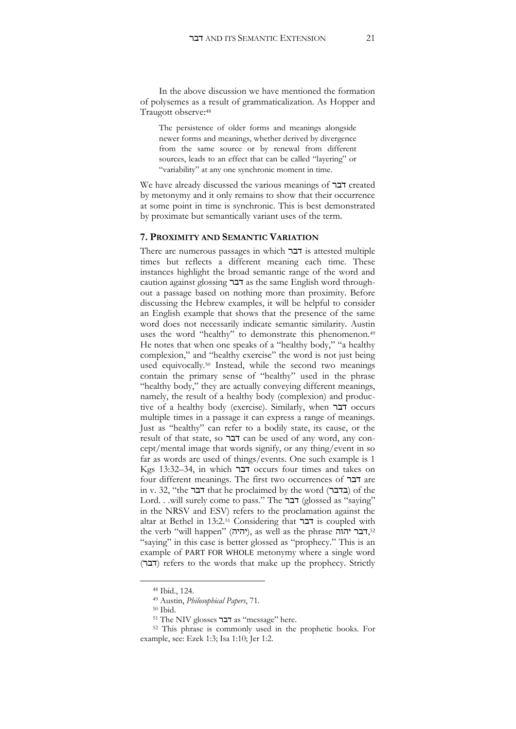In the above discussion we have mentioned the formation of polysemes as a result of grammaticalization. As Hopper and Traugott observe:<sup>48</sup>

The persistence of older forms and meanings alongside newer forms and meanings, whether derived by divergence from the same source or by renewal from different sources, leads to an effect that can be called "layering" or "variability" at any one synchronic moment in time.

We have already discussed the various meanings of דבר created by metonymy and it only remains to show that their occurrence at some point in time is synchronic. This is best demonstrated by proximate but semantically variant uses of the term.

#### **7. PROXIMITY AND SEMANTIC VARIATION**

There are numerous passages in which דבר is attested multiple times but reflects a different meaning each time. These instances highlight the broad semantic range of the word and caution against glossing דבר as the same English word throughout a passage based on nothing more than proximity. Before discussing the Hebrew examples, it will be helpful to consider an English example that shows that the presence of the same word does not necessarily indicate semantic similarity. Austin uses the word "healthy" to demonstrate this phenomenon.<sup>49</sup> He notes that when one speaks of a "healthy body," "a healthy complexion," and "healthy exercise" the word is not just being used equivocally.<sup>50</sup> Instead, while the second two meanings contain the primary sense of "healthy" used in the phrase "healthy body," they are actually conveying different meanings, namely, the result of a healthy body (complexion) and productive of a healthy body (exercise). Similarly, when דבר occurs multiple times in a passage it can express a range of meanings. Just as "healthy" can refer to a bodily state, its cause, or the result of that state, so דבר can be used of any word, any concept/mental image that words signify, or any thing/event in so far as words are used of things/events. One such example is 1 Kgs 13:32–34, in which דבר occurs four times and takes on four different meanings. The first two occurrences of דבר are in v. 32, "the דבר that he proclaimed by the word (בדבר (of the Lord. . .will surely come to pass." The דבר (glossed as "saying" in the NRSV and ESV) refers to the proclamation against the altar at Bethel in 13:2.<sup>51</sup> Considering that דבר is coupled with the verb "will happen" (יהיה), as well as the phrase יהוה,<sup>52</sup> "saying" in this case is better glossed as "prophecy." This is an example of PART FOR WHOLE metonymy where a single word (דבר) refers to the words that make up the prophecy. Strictly

<sup>48</sup> Ibid., 124.

<sup>49</sup> Austin, *Philosophical Papers*, 71.

<sup>50</sup> Ibid.

<sup>51</sup> The NIV glosses דבר as "message" here.

<sup>52</sup> This phrase is commonly used in the prophetic books. For example, see: Ezek 1:3; Isa 1:10; Jer 1:2.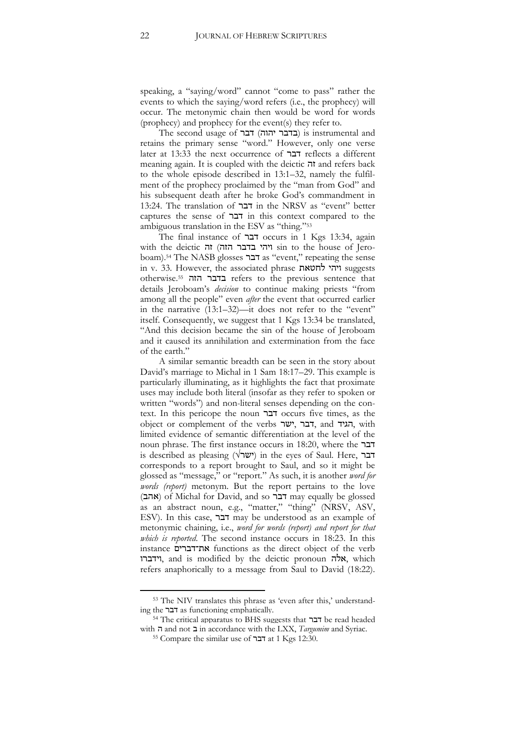speaking, a "saying/word" cannot "come to pass" rather the events to which the saying/word refers (i.e., the prophecy) will occur. The metonymic chain then would be word for words (prophecy) and prophecy for the event(s) they refer to.

The second usage of  $T$ בר יהוה) וis instrumental and retains the primary sense "word." However, only one verse later at 13:33 the next occurrence of דבר reflects a different meaning again. It is coupled with the deictic זה and refers back to the whole episode described in 13:1–32, namely the fulfilment of the prophecy proclaimed by the "man from God" and his subsequent death after he broke God's commandment in 13:24. The translation of דבר in the NRSV as "event" better captures the sense of דבר in this context compared to the ambiguous translation in the ESV as "thing."<sup>53</sup>

The final instance of דבר occurs in 1 Kgs 13:34, again with the deictic זה) הזה בדבר ויהי sin to the house of Jeroboam).<sup>54</sup> The NASB glosses דבר as "event," repeating the sense in v. 33. However, the associated phrase לחטאת ויהי suggests otherwise.55 הזה בדבר refers to the previous sentence that details Jeroboam's *decision* to continue making priests "from among all the people" even *after* the event that occurred earlier in the narrative (13:1–32)—it does not refer to the "event" itself. Consequently, we suggest that 1 Kgs 13:34 be translated, "And this decision became the sin of the house of Jeroboam and it caused its annihilation and extermination from the face of the earth."

A similar semantic breadth can be seen in the story about David's marriage to Michal in 1 Sam 18:17–29. This example is particularly illuminating, as it highlights the fact that proximate uses may include both literal (insofar as they refer to spoken or written "words") and non-literal senses depending on the context. In this pericope the noun דבר occurs five times, as the object or complement of the verbs ישר, דבר, and הגיד, with limited evidence of semantic differentiation at the level of the noun phrase. The first instance occurs in 18:20, where the דבר is described as pleasing (ישר $'$ ) in the eyes of Saul. Here, דבר corresponds to a report brought to Saul, and so it might be glossed as "message," or "report." As such, it is another *word for words (report)* metonym. But the report pertains to the love (אהב (of Michal for David, and so דבר may equally be glossed as an abstract noun, e.g., "matter," "thing" (NRSV, ASV, ESV). In this case, דבר may be understood as an example of metonymic chaining, i.e., *word for words (report) and report for that which is reported*. The second instance occurs in 18:23. In this instance את־דברים functions as the direct object of the verb וידברו, and is modified by the deictic pronoun אלה, which refers anaphorically to a message from Saul to David (18:22).

<sup>53</sup> The NIV translates this phrase as 'even after this,' understanding the דבר as functioning emphatically.

<sup>54</sup> The critical apparatus to BHS suggests that דבר be read headed with ה and not ב in accordance with the LXX, *Targumim* and Syriac.

<sup>55</sup> Compare the similar use of דבר at 1 Kgs 12:30.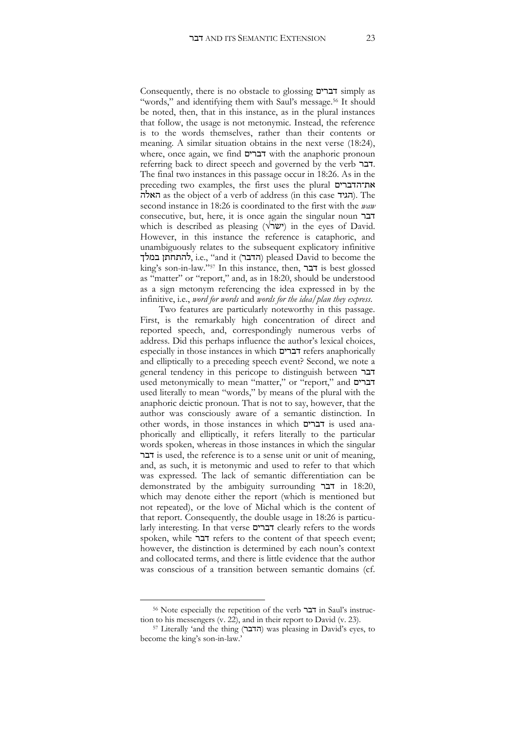Consequently, there is no obstacle to glossing דברים simply as "words," and identifying them with Saul's message.<sup>56</sup> It should be noted, then, that in this instance, as in the plural instances that follow, the usage is not metonymic. Instead, the reference is to the words themselves, rather than their contents or meaning. A similar situation obtains in the next verse (18:24), where, once again, we find דברים with the anaphoric pronoun referring back to direct speech and governed by the verb דבר. The final two instances in this passage occur in 18:26. As in the preceding two examples, the first uses the plural את־הדברים האלה). The האלה as the object of a verb of address (in this case האלה). The second instance in 18:26 is coordinated to the first with the *waw* consecutive, but, here, it is once again the singular noun דבר which is described as pleasing ( $\forall \forall w$ ) in the eyes of David. However, in this instance the reference is cataphoric, and unambiguously relates to the subsequent explicatory infinitive להתחתן במלך), i.e., "and it (הדבר) pleased David to become the king's son-in-law."<sup>57</sup> In this instance, then, דבר is best glossed as "matter" or "report," and, as in 18:20, should be understood as a sign metonym referencing the idea expressed in by the infinitive, i.e., *word for words* and *words for the idea/plan they express*.

Two features are particularly noteworthy in this passage. First, is the remarkably high concentration of direct and reported speech, and, correspondingly numerous verbs of address. Did this perhaps influence the author's lexical choices, especially in those instances in which דברים refers anaphorically and elliptically to a preceding speech event? Second, we note a general tendency in this pericope to distinguish between דבר used metonymically to mean "matter," or "report," and דברים used literally to mean "words," by means of the plural with the anaphoric deictic pronoun. That is not to say, however, that the author was consciously aware of a semantic distinction. In other words, in those instances in which דברים is used anaphorically and elliptically, it refers literally to the particular words spoken, whereas in those instances in which the singular דבר is used, the reference is to a sense unit or unit of meaning, and, as such, it is metonymic and used to refer to that which was expressed. The lack of semantic differentiation can be demonstrated by the ambiguity surrounding דבר in 18:20, which may denote either the report (which is mentioned but not repeated), or the love of Michal which is the content of that report. Consequently, the double usage in 18:26 is particularly interesting. In that verse דברים clearly refers to the words spoken, while דבר refers to the content of that speech event; however, the distinction is determined by each noun's context and collocated terms, and there is little evidence that the author was conscious of a transition between semantic domains (cf.

<sup>56</sup> Note especially the repetition of the verb דבר in Saul's instruction to his messengers (v. 22), and in their report to David (v. 23).

<sup>&</sup>lt;sup>57</sup> Literally 'and the thing (הדבר) was pleasing in David's eyes, to become the king's son-in-law.'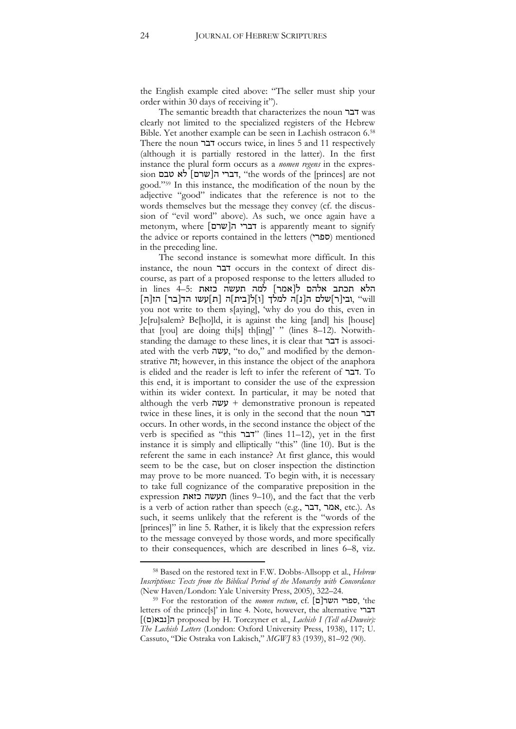the English example cited above: "The seller must ship your order within 30 days of receiving it").

The semantic breadth that characterizes the noun דבר was clearly not limited to the specialized registers of the Hebrew Bible. Yet another example can be seen in Lachish ostracon 6.<sup>58</sup> There the noun דבר occurs twice, in lines 5 and 11 respectively (although it is partially restored in the latter). In the first instance the plural form occurs as a *nomen regens* in the expres- $\sigma$  דברי ה[שרם] לא טבם, "the words of the [princes] are not good."<sup>59</sup> In this instance, the modification of the noun by the adjective "good" indicates that the reference is not to the words themselves but the message they convey (cf. the discussion of "evil word" above). As such, we once again have a metonym, where ]שרם]ה דברי is apparently meant to signify the advice or reports contained in the letters (ספרי) mentioned in the preceding line.

The second instance is somewhat more difficult. In this instance, the noun דבר occurs in the context of direct discourse, as part of a proposed response to the letters alluded to הלא תכתב אלהם ל[אמר] למה תעשה כזאת :5=4 in lines [will ",ובי[ר]שלם ה[נ]ה למלך [ו]ל[בית]ה [ת]עשו הד[בר] הז[ה] you not write to them s[aying], 'why do you do this, even in Je[ru]salem? Be[ho]ld, it is against the king [and] his [house] that [you] are doing thi[s] th[ing]' " (lines 8-12). Notwithstanding the damage to these lines, it is clear that דבר is associated with the verb עשה," to do," and modified by the demonstrative זה ;however, in this instance the object of the anaphora is elided and the reader is left to infer the referent of דבר. To this end, it is important to consider the use of the expression within its wider context. In particular, it may be noted that although the verb  $\psi$  + demonstrative pronoun is repeated twice in these lines, it is only in the second that the noun דבר occurs. In other words, in the second instance the object of the verb is specified as "this "דבר" (lines 11–12), yet in the first instance it is simply and elliptically "this" (line 10). But is the referent the same in each instance? At first glance, this would seem to be the case, but on closer inspection the distinction may prove to be more nuanced. To begin with, it is necessary to take full cognizance of the comparative preposition in the expression כזאת תעשה) lines 9–10), and the fact that the verb is a verb of action rather than speech (e.g., דבר, אמר, etc.). As such, it seems unlikely that the referent is the "words of the [princes]" in line 5. Rather, it is likely that the expression refers to the message conveyed by those words, and more specifically to their consequences, which are described in lines 6–8, viz.

<sup>58</sup> Based on the restored text in F.W. Dobbs-Allsopp et al., *Hebrew Inscriptions: Texts from the Biblical Period of the Monarchy with Concordance* (New Haven/London: Yale University Press, 2005), 322–24.

<sup>59</sup> For the restoration of the *nomen rectum*, cf. ]ם]השר ספרי,' the letters of the prince[s]' in line 4. Note, however, the alternative דברי ])ם)נבא]ה proposed by H. Torczyner et al., *Lachish I (Tell ed-Duweir): The Lachish Letters* (London: Oxford University Press, 1938), 117; U. Cassuto, "Die Ostraka von Lakisch," *MGWJ* 83 (1939), 81–92 (90).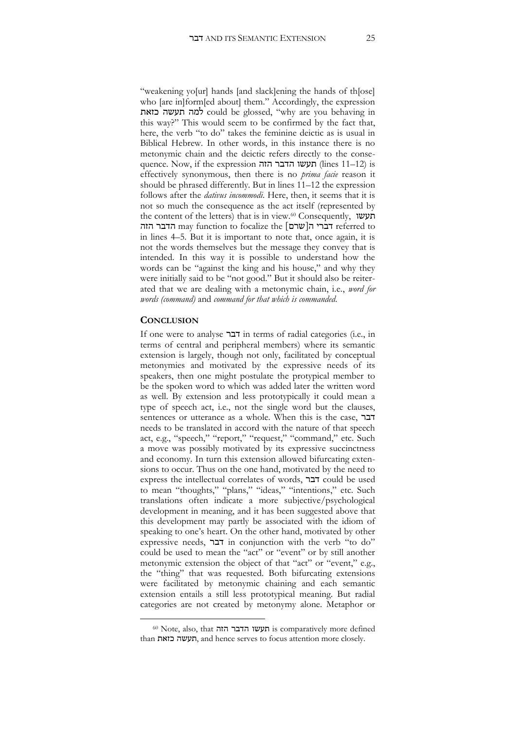"weakening yo[ur] hands [and slack]ening the hands of th[ose] who *are inform* [ed about] them." Accordingly, the expression כזאת תעשה למה could be glossed, "why are you behaving in this way?" This would seem to be confirmed by the fact that, here, the verb "to do" takes the feminine deictic as is usual in Biblical Hebrew. In other words, in this instance there is no metonymic chain and the deictic refers directly to the consequence. Now, if the expression תעשו הדבר הזה (lines 11–12) is effectively synonymous, then there is no *prima facie* reason it should be phrased differently. But in lines 11–12 the expression follows after the *dativus incommodi*. Here, then, it seems that it is not so much the consequence as the act itself (represented by the content of the letters) that is in view.<sup>60</sup> Consequently, תעשו הזה הדבר may function to focalize the ]שרם]ה דברי referred to in lines 4–5. But it is important to note that, once again, it is not the words themselves but the message they convey that is intended. In this way it is possible to understand how the words can be "against the king and his house," and why they were initially said to be "not good." But it should also be reiterated that we are dealing with a metonymic chain, i.e., *word for words (command)* and *command for that which is commanded*.

#### **CONCLUSION**

 $\overline{a}$ 

If one were to analyse דבר in terms of radial categories (i.e., in terms of central and peripheral members) where its semantic extension is largely, though not only, facilitated by conceptual metonymies and motivated by the expressive needs of its speakers, then one might postulate the protypical member to be the spoken word to which was added later the written word as well. By extension and less prototypically it could mean a type of speech act, i.e., not the single word but the clauses, sentences or utterance as a whole. When this is the case, דבר needs to be translated in accord with the nature of that speech act, e.g., "speech," "report," "request," "command," etc. Such a move was possibly motivated by its expressive succinctness and economy. In turn this extension allowed bifurcating extensions to occur. Thus on the one hand, motivated by the need to express the intellectual correlates of words, דבר could be used to mean "thoughts," "plans," "ideas," "intentions," etc. Such translations often indicate a more subjective/psychological development in meaning, and it has been suggested above that this development may partly be associated with the idiom of speaking to one's heart. On the other hand, motivated by other expressive needs, דבר in conjunction with the verb "to do" could be used to mean the "act" or "event" or by still another metonymic extension the object of that "act" or "event," e.g., the "thing" that was requested. Both bifurcating extensions were facilitated by metonymic chaining and each semantic extension entails a still less prototypical meaning. But radial categories are not created by metonymy alone. Metaphor or

<sup>60</sup> Note, also, that הזה הדבר תעשו is comparatively more defined than כזאת תעשה, and hence serves to focus attention more closely.